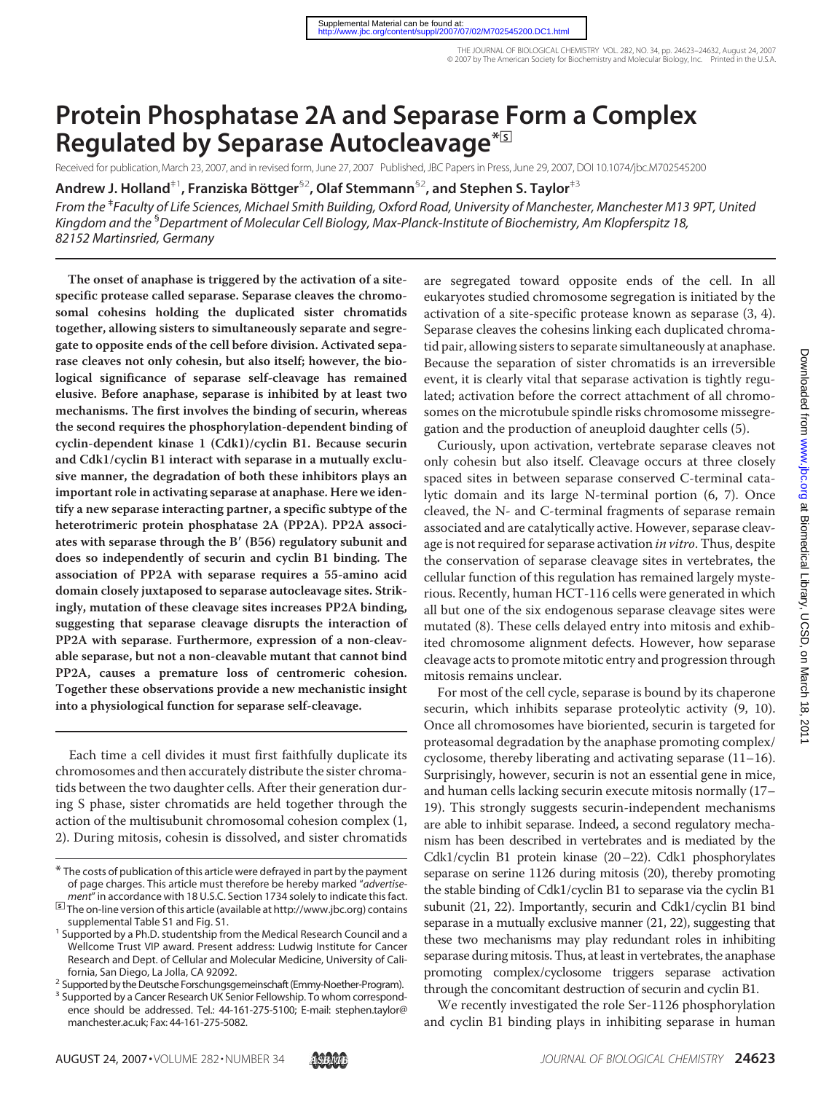# **Protein Phosphatase 2A and Separase Form a Complex Regulated by Separase Autocleavage\***□**<sup>S</sup>**

Received for publication, March 23, 2007, and in revised form, June 27, 2007 Published, JBC Papers in Press, June 29, 2007, DOI 10.1074/jbc.M702545200

**Andrew J. Holland<sup>‡1</sup>, Franziska Böttger<sup>§2</sup>, Olaf Stemmann<sup>§2</sup>, and Stephen S. Taylor<sup>‡3</sup>** 

*From the* ‡ *Faculty of Life Sciences, Michael Smith Building, Oxford Road, University of Manchester, Manchester M13 9PT, United Kingdom and the* § *Department of Molecular Cell Biology, Max-Planck-Institute of Biochemistry, Am Klopferspitz 18, 82152 Martinsried, Germany*

**The onset of anaphase is triggered by the activation of a sitespecific protease called separase. Separase cleaves the chromosomal cohesins holding the duplicated sister chromatids together, allowing sisters to simultaneously separate and segregate to opposite ends of the cell before division. Activated separase cleaves not only cohesin, but also itself; however, the biological significance of separase self-cleavage has remained elusive. Before anaphase, separase is inhibited by at least two mechanisms. The first involves the binding of securin, whereas the second requires the phosphorylation-dependent binding of cyclin-dependent kinase 1 (Cdk1)/cyclin B1. Because securin and Cdk1/cyclin B1 interact with separase in a mutually exclusive manner, the degradation of both these inhibitors plays an important role in activating separase at anaphase. Here we identify a new separase interacting partner, a specific subtype of the heterotrimeric protein phosphatase 2A (PP2A). PP2A associates with separase through the B**- **(B56) regulatory subunit and does so independently of securin and cyclin B1 binding. The association of PP2A with separase requires a 55-amino acid domain closely juxtaposed to separase autocleavage sites. Strikingly, mutation of these cleavage sites increases PP2A binding, suggesting that separase cleavage disrupts the interaction of PP2A with separase. Furthermore, expression of a non-cleavable separase, but not a non-cleavable mutant that cannot bind PP2A, causes a premature loss of centromeric cohesion. Together these observations provide a new mechanistic insight into a physiological function for separase self-cleavage.**

Each time a cell divides it must first faithfully duplicate its chromosomes and then accurately distribute the sister chromatids between the two daughter cells. After their generation during S phase, sister chromatids are held together through the action of the multisubunit chromosomal cohesion complex (1, 2). During mitosis, cohesin is dissolved, and sister chromatids

are segregated toward opposite ends of the cell. In all eukaryotes studied chromosome segregation is initiated by the activation of a site-specific protease known as separase (3, 4). Separase cleaves the cohesins linking each duplicated chromatid pair, allowing sisters to separate simultaneously at anaphase. Because the separation of sister chromatids is an irreversible event, it is clearly vital that separase activation is tightly regulated; activation before the correct attachment of all chromosomes on the microtubule spindle risks chromosome missegregation and the production of aneuploid daughter cells (5).

Curiously, upon activation, vertebrate separase cleaves not only cohesin but also itself. Cleavage occurs at three closely spaced sites in between separase conserved C-terminal catalytic domain and its large N-terminal portion (6, 7). Once cleaved, the N- and C-terminal fragments of separase remain associated and are catalytically active. However, separase cleavage is not required for separase activation *in vitro*. Thus, despite the conservation of separase cleavage sites in vertebrates, the cellular function of this regulation has remained largely mysterious. Recently, human HCT-116 cells were generated in which all but one of the six endogenous separase cleavage sites were mutated (8). These cells delayed entry into mitosis and exhibited chromosome alignment defects. However, how separase cleavage acts to promote mitotic entry and progression through mitosis remains unclear.

For most of the cell cycle, separase is bound by its chaperone securin, which inhibits separase proteolytic activity (9, 10). Once all chromosomes have bioriented, securin is targeted for proteasomal degradation by the anaphase promoting complex/ cyclosome, thereby liberating and activating separase (11–16). Surprisingly, however, securin is not an essential gene in mice, and human cells lacking securin execute mitosis normally (17– 19). This strongly suggests securin-independent mechanisms are able to inhibit separase. Indeed, a second regulatory mechanism has been described in vertebrates and is mediated by the Cdk1/cyclin B1 protein kinase (20–22). Cdk1 phosphorylates separase on serine 1126 during mitosis (20), thereby promoting the stable binding of Cdk1/cyclin B1 to separase via the cyclin B1 subunit (21, 22). Importantly, securin and Cdk1/cyclin B1 bind separase in a mutually exclusive manner (21, 22), suggesting that these two mechanisms may play redundant roles in inhibiting separase during mitosis. Thus, at least in vertebrates, the anaphase promoting complex/cyclosome triggers separase activation through the concomitant destruction of securin and cyclin B1.

We recently investigated the role Ser-1126 phosphorylation and cyclin B1 binding plays in inhibiting separase in human

<sup>\*</sup> The costs of publication of this article were defrayed in part by the payment of page charges. This article must therefore be hereby marked "*advertise-*

<sup>&</sup>lt;sup>5</sup> The on-line version of this article (available at http://www.jbc.org) contains

supplemental Table S1 and Fig. S1. <sup>1</sup> Supported by a Ph.D. studentship from the Medical Research Council and a Wellcome Trust VIP award. Present address: Ludwig Institute for Cancer Research and Dept. of Cellular and Molecular Medicine, University of Cali-<br>fornia, San Diego, La Jolla, CA 92092.

<sup>&</sup>lt;sup>2</sup> Supported by the Deutsche Forschungsgemeinschaft (Emmy-Noether-Program).

<sup>&</sup>lt;sup>3</sup> Supported by a Cancer Research UK Senior Fellowship. To whom correspondence should be addressed. Tel.: 44-161-275-5100; E-mail: stephen.taylor@ manchester.ac.uk; Fax: 44-161-275-5082.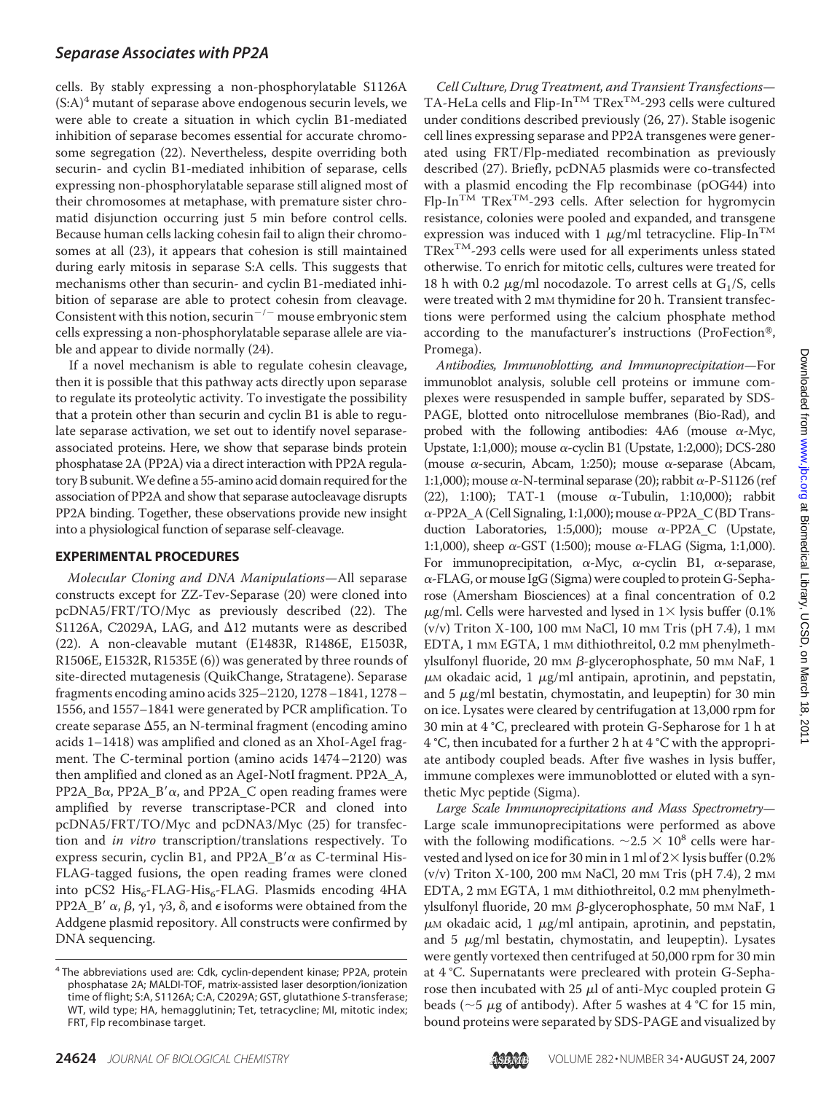## *Separase Associates with PP2A*

cells. By stably expressing a non-phosphorylatable S1126A  $(S:A)^4$  mutant of separase above endogenous securin levels, we were able to create a situation in which cyclin B1-mediated inhibition of separase becomes essential for accurate chromosome segregation (22). Nevertheless, despite overriding both securin- and cyclin B1-mediated inhibition of separase, cells expressing non-phosphorylatable separase still aligned most of their chromosomes at metaphase, with premature sister chromatid disjunction occurring just 5 min before control cells. Because human cells lacking cohesin fail to align their chromosomes at all (23), it appears that cohesion is still maintained during early mitosis in separase S:A cells. This suggests that mechanisms other than securin- and cyclin B1-mediated inhibition of separase are able to protect cohesin from cleavage. Consistent with this notion, securin<sup> $-/-$ </sup> mouse embryonic stem cells expressing a non-phosphorylatable separase allele are viable and appear to divide normally (24).

If a novel mechanism is able to regulate cohesin cleavage, then it is possible that this pathway acts directly upon separase to regulate its proteolytic activity. To investigate the possibility that a protein other than securin and cyclin B1 is able to regulate separase activation, we set out to identify novel separaseassociated proteins. Here, we show that separase binds protein phosphatase 2A (PP2A) via a direct interaction with PP2A regulatory B subunit.We define a 55-amino acid domain required for the association of PP2A and show that separase autocleavage disrupts PP2A binding. Together, these observations provide new insight into a physiological function of separase self-cleavage.

## **EXPERIMENTAL PROCEDURES**

*Molecular Cloning and DNA Manipulations*—All separase constructs except for ZZ-Tev-Separase (20) were cloned into pcDNA5/FRT/TO/Myc as previously described (22). The S1126A, C2029A, LAG, and  $\Delta$ 12 mutants were as described (22). A non-cleavable mutant (E1483R, R1486E, E1503R, R1506E, E1532R, R1535E (6)) was generated by three rounds of site-directed mutagenesis (QuikChange, Stratagene). Separase fragments encoding amino acids 325–2120, 1278–1841, 1278– 1556, and 1557–1841 were generated by PCR amplification. To create separase  $\Delta$ 55, an N-terminal fragment (encoding amino acids 1–1418) was amplified and cloned as an XhoI-AgeI fragment. The C-terminal portion (amino acids 1474–2120) was then amplified and cloned as an AgeI-NotI fragment. PP2A\_A, PP2A\_B $\alpha$ , PP2A\_B' $\alpha$ , and PP2A\_C open reading frames were amplified by reverse transcriptase-PCR and cloned into pcDNA5/FRT/TO/Myc and pcDNA3/Myc (25) for transfection and *in vitro* transcription/translations respectively. To express securin, cyclin B1, and PP2A\_B' $\alpha$  as C-terminal His-FLAG-tagged fusions, the open reading frames were cloned into pCS2  $His<sub>6</sub>-FLAG-His<sub>6</sub>-FLAG$ . Plasmids encoding 4HA PP2A\_B'  $\alpha$ ,  $\beta$ ,  $\gamma$ 1,  $\gamma$ 3,  $\delta$ , and  $\epsilon$  isoforms were obtained from the Addgene plasmid repository. All constructs were confirmed by DNA sequencing.

*Cell Culture, Drug Treatment, and Transient Transfections*— TA-HeLa cells and Flip-In<sup>TM</sup> TRex<sup>TM</sup>-293 cells were cultured under conditions described previously (26, 27). Stable isogenic cell lines expressing separase and PP2A transgenes were generated using FRT/Flp-mediated recombination as previously described (27). Briefly, pcDNA5 plasmids were co-transfected with a plasmid encoding the Flp recombinase (pOG44) into  $Flp-In<sup>TM</sup> TRex<sup>TM</sup>-293$  cells. After selection for hygromycin resistance, colonies were pooled and expanded, and transgene expression was induced with 1  $\mu$ g/ml tetracycline. Flip-In<sup>TM</sup>  $T$ Rex<sup>TM</sup>-293 cells were used for all experiments unless stated otherwise. To enrich for mitotic cells, cultures were treated for 18 h with 0.2  $\mu$ g/ml nocodazole. To arrest cells at G<sub>1</sub>/S, cells were treated with 2 mm thymidine for 20 h. Transient transfections were performed using the calcium phosphate method according to the manufacturer's instructions (ProFection®, Promega).

*Antibodies, Immunoblotting, and Immunoprecipitation*—For immunoblot analysis, soluble cell proteins or immune complexes were resuspended in sample buffer, separated by SDS-PAGE, blotted onto nitrocellulose membranes (Bio-Rad), and probed with the following antibodies:  $4A6$  (mouse  $\alpha$ -Myc, Upstate, 1:1,000); mouse  $\alpha$ -cyclin B1 (Upstate, 1:2,000); DCS-280 (mouse  $\alpha$ -securin, Abcam, 1:250); mouse  $\alpha$ -separase (Abcam, 1:1,000); mouse  $\alpha$ -N-terminal separase (20); rabbit  $\alpha$ -P-S1126 (ref (22), 1:100); TAT-1 (mouse  $\alpha$ -Tubulin, 1:10,000); rabbit  $\alpha$ -PP2A\_A (Cell Signaling, 1:1,000); mouse  $\alpha$ -PP2A\_C (BD Transduction Laboratories, 1:5,000); mouse  $\alpha$ -PP2A\_C (Upstate, 1:1,000), sheep  $\alpha$ -GST (1:500); mouse  $\alpha$ -FLAG (Sigma, 1:1,000). For immunoprecipitation,  $\alpha$ -Myc,  $\alpha$ -cyclin B1,  $\alpha$ -separase,  $\alpha$ -FLAG, or mouse IgG (Sigma) were coupled to protein G-Sepharose (Amersham Biosciences) at a final concentration of 0.2  $\mu$ g/ml. Cells were harvested and lysed in 1× lysis buffer (0.1%) (v/v) Triton X-100, 100 mM NaCl, 10 mM Tris (pH 7.4), 1 mM EDTA, 1 mm EGTA, 1 mm dithiothreitol, 0.2 mm phenylmethylsulfonyl fluoride, 20 mm  $\beta$ -glycerophosphate, 50 mm NaF, 1  $\mu$ M okadaic acid, 1  $\mu$ g/ml antipain, aprotinin, and pepstatin, and 5  $\mu$ g/ml bestatin, chymostatin, and leupeptin) for 30 min on ice. Lysates were cleared by centrifugation at 13,000 rpm for 30 min at 4 °C, precleared with protein G-Sepharose for 1 h at 4 °C, then incubated for a further 2 h at 4 °C with the appropriate antibody coupled beads. After five washes in lysis buffer, immune complexes were immunoblotted or eluted with a synthetic Myc peptide (Sigma).

*Large Scale Immunoprecipitations and Mass Spectrometry*— Large scale immunoprecipitations were performed as above with the following modifications.  $\sim 2.5 \times 10^8$  cells were harvested and lysed on ice for 30 min in 1 ml of  $2\times$  lysis buffer (0.2% (v/v) Triton X-100, 200 mM NaCl, 20 mM Tris (pH 7.4), 2 mM EDTA, 2 mm EGTA, 1 mm dithiothreitol, 0.2 mm phenylmethylsulfonyl fluoride, 20 mm  $\beta$ -glycerophosphate, 50 mm NaF, 1  $\mu$ M okadaic acid, 1  $\mu$ g/ml antipain, aprotinin, and pepstatin, and  $5 \mu$ g/ml bestatin, chymostatin, and leupeptin). Lysates were gently vortexed then centrifuged at 50,000 rpm for 30 min at 4 °C. Supernatants were precleared with protein G-Sepharose then incubated with  $25 \mu$  of anti-Myc coupled protein G beads ( $\sim$ 5  $\mu$ g of antibody). After 5 washes at 4 °C for 15 min, bound proteins were separated by SDS-PAGE and visualized by

<sup>&</sup>lt;sup>4</sup> The abbreviations used are: Cdk, cyclin-dependent kinase; PP2A, protein phosphatase 2A; MALDI-TOF, matrix-assisted laser desorption/ionization time of flight; S:A, S1126A; C:A, C2029A; GST, glutathione *S*-transferase; WT, wild type; HA, hemagglutinin; Tet, tetracycline; MI, mitotic index; FRT, Flp recombinase target.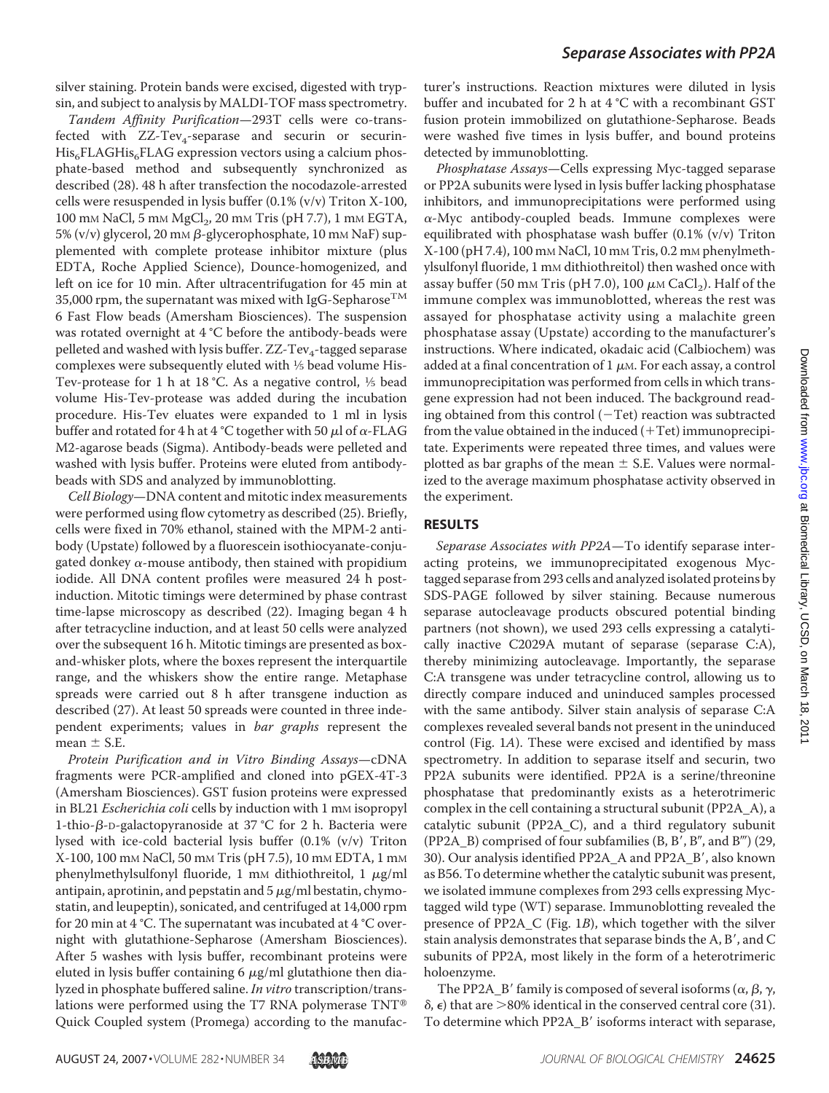silver staining. Protein bands were excised, digested with trypsin, and subject to analysis by MALDI-TOF mass spectrometry.

*Tandem Affinity Purification*—293T cells were co-transfected with  $ZZ-Tev_4$ -separase and securin or securin- $His<sub>6</sub>FLAGHis<sub>6</sub>FLAG$  expression vectors using a calcium phosphate-based method and subsequently synchronized as described (28). 48 h after transfection the nocodazole-arrested cells were resuspended in lysis buffer (0.1% (v/v) Triton X-100, 100 mm NaCl, 5 mm MgCl<sub>2</sub>, 20 mm Tris (pH 7.7), 1 mm EGTA, 5% (v/v) glycerol, 20 mm β-glycerophosphate, 10 mm NaF) supplemented with complete protease inhibitor mixture (plus EDTA, Roche Applied Science), Dounce-homogenized, and left on ice for 10 min. After ultracentrifugation for 45 min at 35,000 rpm, the supernatant was mixed with IgG-Sepharose<sup>TM</sup> 6 Fast Flow beads (Amersham Biosciences). The suspension was rotated overnight at 4 °C before the antibody-beads were pelleted and washed with lysis buffer. ZZ-Tev<sub>4</sub>-tagged separase complexes were subsequently eluted with 1⁄5 bead volume His-Tev-protease for 1 h at 18 °C. As a negative control,  $\frac{1}{5}$  bead volume His-Tev-protease was added during the incubation procedure. His-Tev eluates were expanded to 1 ml in lysis buffer and rotated for 4 h at 4 °C together with 50  $\mu$ l of  $\alpha$ -FLAG M2-agarose beads (Sigma). Antibody-beads were pelleted and washed with lysis buffer. Proteins were eluted from antibodybeads with SDS and analyzed by immunoblotting.

*Cell Biology*—DNA content and mitotic index measurements were performed using flow cytometry as described (25). Briefly, cells were fixed in 70% ethanol, stained with the MPM-2 antibody (Upstate) followed by a fluorescein isothiocyanate-conjugated donkey  $\alpha$ -mouse antibody, then stained with propidium iodide. All DNA content profiles were measured 24 h postinduction. Mitotic timings were determined by phase contrast time-lapse microscopy as described (22). Imaging began 4 h after tetracycline induction, and at least 50 cells were analyzed over the subsequent 16 h. Mitotic timings are presented as boxand-whisker plots, where the boxes represent the interquartile range, and the whiskers show the entire range. Metaphase spreads were carried out 8 h after transgene induction as described (27). At least 50 spreads were counted in three independent experiments; values in *bar graphs* represent the mean  $\pm$  S.E.

*Protein Purification and in Vitro Binding Assays*—cDNA fragments were PCR-amplified and cloned into pGEX-4T-3 (Amersham Biosciences). GST fusion proteins were expressed in BL21 *Escherichia coli* cells by induction with 1 mm isopropyl 1-thio- $\beta$ -D-galactopyranoside at 37 °C for 2 h. Bacteria were lysed with ice-cold bacterial lysis buffer (0.1% (v/v) Triton X-100, 100 mM NaCl, 50 mM Tris (pH 7.5), 10 mM EDTA, 1 mM phenylmethylsulfonyl fluoride, 1 mm dithiothreitol, 1  $\mu$ g/ml antipain, aprotinin, and pepstatin and  $5 \mu g/ml$  bestatin, chymostatin, and leupeptin), sonicated, and centrifuged at 14,000 rpm for 20 min at 4 °C. The supernatant was incubated at 4 °C overnight with glutathione-Sepharose (Amersham Biosciences). After 5 washes with lysis buffer, recombinant proteins were eluted in lysis buffer containing  $6 \mu g/ml$  glutathione then dialyzed in phosphate buffered saline. *In vitro* transcription/translations were performed using the T7 RNA polymerase TNT Quick Coupled system (Promega) according to the manufacturer's instructions. Reaction mixtures were diluted in lysis buffer and incubated for 2 h at 4 °C with a recombinant GST fusion protein immobilized on glutathione-Sepharose. Beads were washed five times in lysis buffer, and bound proteins detected by immunoblotting.

*Phosphatase Assays*—Cells expressing Myc-tagged separase or PP2A subunits were lysed in lysis buffer lacking phosphatase inhibitors, and immunoprecipitations were performed using  $\alpha$ -Myc antibody-coupled beads. Immune complexes were equilibrated with phosphatase wash buffer (0.1% (v/v) Triton X-100 (pH 7.4), 100 mM NaCl, 10 mM Tris, 0.2 mM phenylmethylsulfonyl fluoride, 1 mm dithiothreitol) then washed once with assay buffer (50 mm Tris (pH 7.0), 100  $\mu$ m CaCl<sub>2</sub>). Half of the immune complex was immunoblotted, whereas the rest was assayed for phosphatase activity using a malachite green phosphatase assay (Upstate) according to the manufacturer's instructions. Where indicated, okadaic acid (Calbiochem) was added at a final concentration of  $1 \mu$ M. For each assay, a control immunoprecipitation was performed from cells in which transgene expression had not been induced. The background reading obtained from this control  $(-Tet)$  reaction was subtracted from the value obtained in the induced  $(+Tet)$  immunoprecipitate. Experiments were repeated three times, and values were plotted as bar graphs of the mean  $\pm$  S.E. Values were normalized to the average maximum phosphatase activity observed in the experiment.

## **RESULTS**

*Separase Associates with PP2A*—To identify separase interacting proteins, we immunoprecipitated exogenous Myctagged separase from 293 cells and analyzed isolated proteins by SDS-PAGE followed by silver staining. Because numerous separase autocleavage products obscured potential binding partners (not shown), we used 293 cells expressing a catalytically inactive C2029A mutant of separase (separase C:A), thereby minimizing autocleavage. Importantly, the separase C:A transgene was under tetracycline control, allowing us to directly compare induced and uninduced samples processed with the same antibody. Silver stain analysis of separase C:A complexes revealed several bands not present in the uninduced control (Fig. 1*A*). These were excised and identified by mass spectrometry. In addition to separase itself and securin, two PP2A subunits were identified. PP2A is a serine/threonine phosphatase that predominantly exists as a heterotrimeric complex in the cell containing a structural subunit (PP2A\_A), a catalytic subunit (PP2A\_C), and a third regulatory subunit (PP2A\_B) comprised of four subfamilies  $(B, B', B'', and B''')$  (29, 30). Our analysis identified PP2A\_A and PP2A\_B', also known as B56. To determine whether the catalytic subunit was present, we isolated immune complexes from 293 cells expressing Myctagged wild type (WT) separase. Immunoblotting revealed the presence of PP2A\_C (Fig. 1*B*), which together with the silver stain analysis demonstrates that separase binds the A, B', and C subunits of PP2A, most likely in the form of a heterotrimeric holoenzyme.

The PP2A\_B' family is composed of several isoforms ( $\alpha$ ,  $\beta$ ,  $\gamma$ ,  $\delta$ ,  $\epsilon$ ) that are  $>$ 80% identical in the conserved central core (31). To determine which PP2A\_B' isoforms interact with separase,

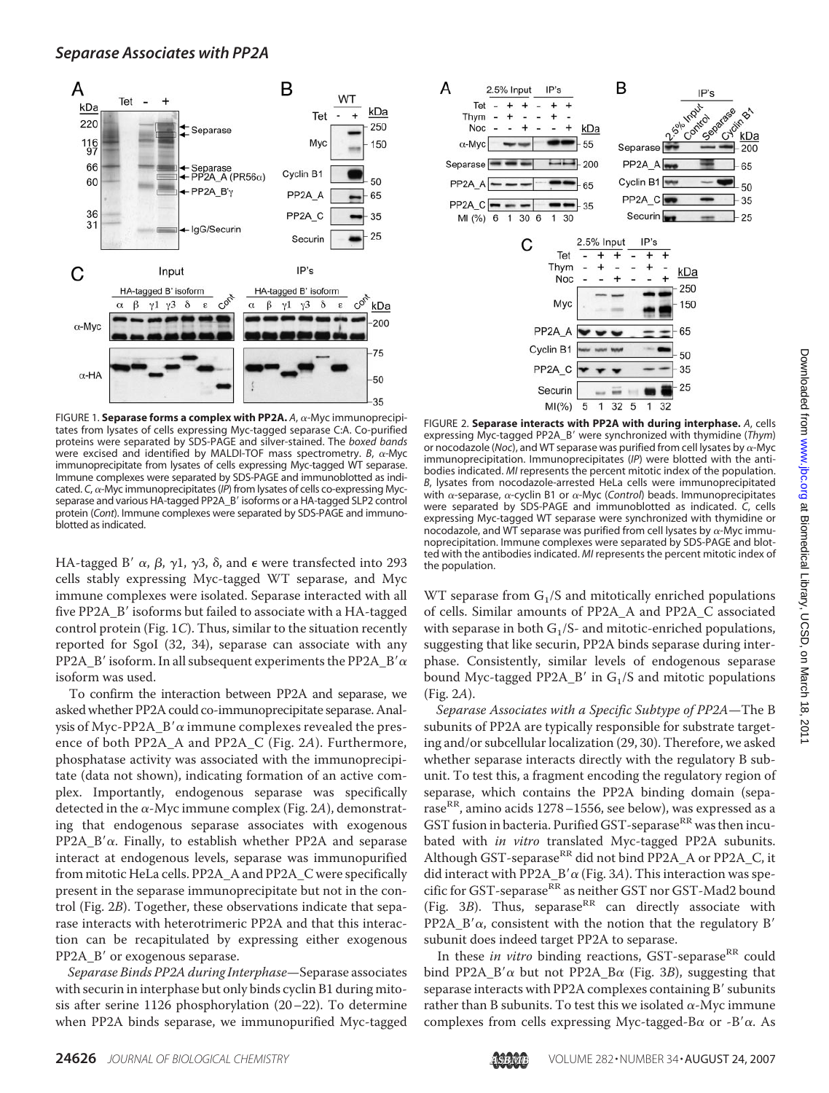

FIGURE 1. **Separase forms a complex with PP2A.** A,  $\alpha$ -Myc immunoprecipitates from lysates of cells expressing Myc-tagged separase C:A. Co-purified proteins were separated by SDS-PAGE and silver-stained. The *boxed bands* were excised and identified by MALDI-TOF mass spectrometry.  $B$ ,  $\alpha$ -Myc immunoprecipitate from lysates of cells expressing Myc-tagged WT separase. Immune complexes were separated by SDS-PAGE and immunoblotted as indicated. C,  $\alpha$ -Myc immunoprecipitates (IP) from lysates of cells co-expressing Mycseparase and various HA-tagged PP2A\_B' isoforms or a HA-tagged SLP2 control protein (*Cont*). Immune complexes were separated by SDS-PAGE and immunoblotted as indicated.

HA-tagged B'  $\alpha$ ,  $\beta$ ,  $\gamma$ 1,  $\gamma$ 3,  $\delta$ , and  $\epsilon$  were transfected into 293 cells stably expressing Myc-tagged WT separase, and Myc immune complexes were isolated. Separase interacted with all five PP2A  $\,$ B' isoforms but failed to associate with a HA-tagged control protein (Fig. 1*C*). Thus, similar to the situation recently reported for SgoI (32, 34), separase can associate with any PP2A\_B' isoform. In all subsequent experiments the PP2A\_B'  $\alpha$ isoform was used.

To confirm the interaction between PP2A and separase, we asked whether PP2A could co-immunoprecipitate separase. Analysis of Myc-PP2A\_B' $\alpha$  immune complexes revealed the presence of both PP2A\_A and PP2A\_C (Fig. 2*A*). Furthermore, phosphatase activity was associated with the immunoprecipitate (data not shown), indicating formation of an active complex. Importantly, endogenous separase was specifically detected in the  $\alpha$ -Myc immune complex (Fig. 2A), demonstrating that endogenous separase associates with exogenous PP2A  $B'\alpha$ . Finally, to establish whether PP2A and separase interact at endogenous levels, separase was immunopurified from mitotic HeLa cells. PP2A\_A and PP2A\_C were specifically present in the separase immunoprecipitate but not in the control (Fig. 2*B*). Together, these observations indicate that separase interacts with heterotrimeric PP2A and that this interaction can be recapitulated by expressing either exogenous PP2A\_B' or exogenous separase.

*Separase Binds PP2A during Interphase*—Separase associates with securin in interphase but only binds cyclin B1 during mitosis after serine 1126 phosphorylation (20–22). To determine when PP2A binds separase, we immunopurified Myc-tagged



FIGURE 2. **Separase interacts with PP2A with during interphase.** *A*, cells expressing Myc-tagged PP2A\_B were synchronized with thymidine (*Thym*) or nocodazole (*Noc*), and WT separase was purified from cell lysates by  $\alpha$ -Myc immunoprecipitation. Immunoprecipitates (*IP*) were blotted with the antibodies indicated. *MI* represents the percent mitotic index of the population. *B*, lysates from nocodazole-arrested HeLa cells were immunoprecipitated with  $\alpha$ -separase,  $\alpha$ -cyclin B1 or  $\alpha$ -Myc (*Control*) beads. Immunoprecipitates were separated by SDS-PAGE and immunoblotted as indicated. *C*, cells expressing Myc-tagged WT separase were synchronized with thymidine or nocodazole, and WT separase was purified from cell lysates by  $\alpha$ -Myc immunoprecipitation. Immune complexes were separated by SDS-PAGE and blotted with the antibodies indicated. *MI* represents the percent mitotic index of the population.

WT separase from  $G_1/S$  and mitotically enriched populations of cells. Similar amounts of PP2A\_A and PP2A\_C associated with separase in both  $G_1/S$ - and mitotic-enriched populations, suggesting that like securin, PP2A binds separase during interphase. Consistently, similar levels of endogenous separase bound Myc-tagged PP2A\_B' in  $G_1/S$  and mitotic populations (Fig. 2*A*).

*Separase Associates with a Specific Subtype of PP2A*—The B subunits of PP2A are typically responsible for substrate targeting and/or subcellular localization (29, 30). Therefore, we asked whether separase interacts directly with the regulatory B subunit. To test this, a fragment encoding the regulatory region of separase, which contains the PP2A binding domain (separase<sup>RR</sup>, amino acids 1278–1556, see below), was expressed as a GST fusion in bacteria. Purified GST-separase $^{\rm RR}$  was then incubated with *in vitro* translated Myc-tagged PP2A subunits. Although GST-separase $R^R$  did not bind PP2A\_A or PP2A\_C, it did interact with PP2A\_B' $\alpha$  (Fig. 3A). This interaction was specific for GST-separase<sup>RR</sup> as neither GST nor GST-Mad2 bound (Fig.  $3B$ ). Thus, separase<sup>RR</sup> can directly associate with PP2A\_B' $\alpha$ , consistent with the notion that the regulatory B' subunit does indeed target PP2A to separase.

In these *in vitro* binding reactions, GST-separase<sup>RR</sup> could bind PP2A\_B' $\alpha$  but not PP2A\_B $\alpha$  (Fig. 3*B*), suggesting that separase interacts with PP2A complexes containing  $B'$  subunits rather than B subunits. To test this we isolated  $\alpha$ -Myc immune complexes from cells expressing Myc-tagged-B $\alpha$  or -B' $\alpha$ . As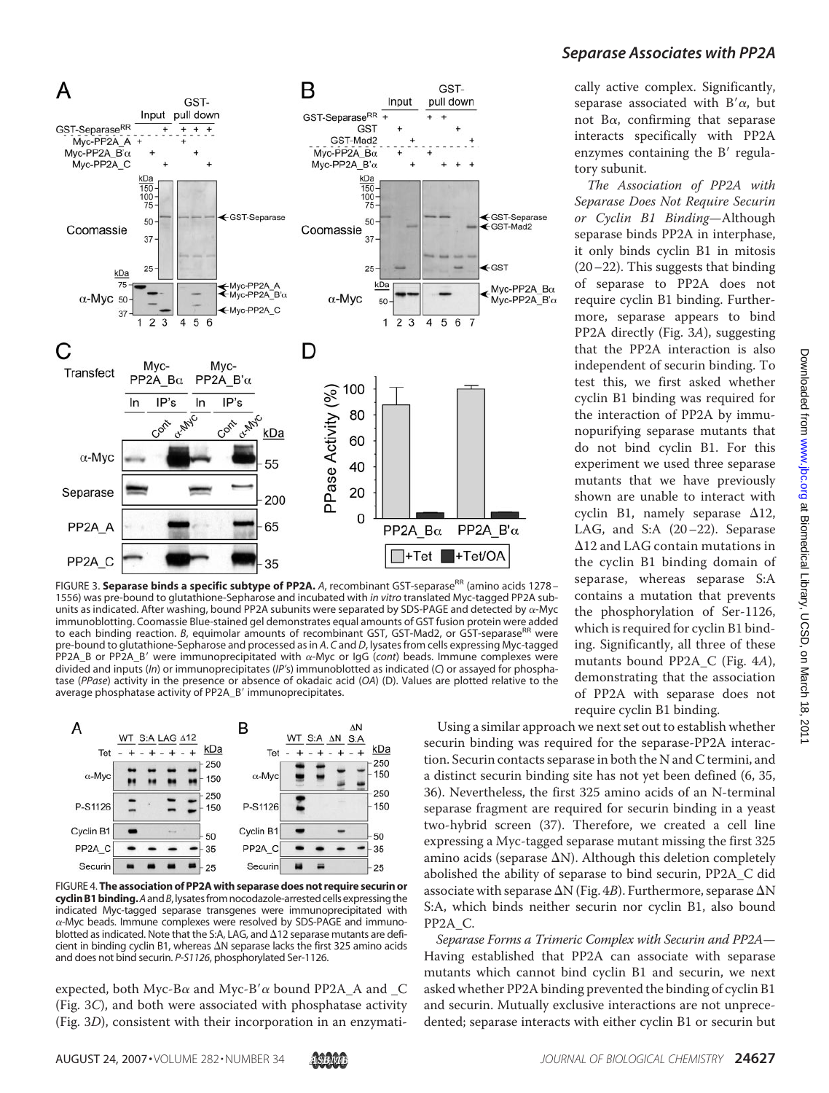

FIGURE 3. **Separase binds a specific subtype of PP2A.** A, recombinant GST-separase<sup>RR</sup> (amino acids 1278 – 1556) was pre-bound to glutathione-Sepharose and incubated with *in vitro* translated Myc-tagged PP2A subunits as indicated. After washing, bound PP2A subunits were separated by SDS-PAGE and detected by  $\alpha$ -Myc immunoblotting. Coomassie Blue-stained gel demonstrates equal amounts of GST fusion protein were added to each binding reaction. *B*, equimolar amounts of recombinant GST, GST-Mad2, or GST-separase<sup>RR</sup> were pre-bound to glutathione-Sepharose and processed as in *A*. *C* and *D*, lysates from cells expressing Myc-tagged PP2A\_B or PP2A\_B' were immunoprecipitated with  $\alpha$ -Myc or IgG (*cont*) beads. Immune complexes were divided and inputs (*In*) or immunoprecipitates (*IP'*s) immunoblotted as indicated (*C*) or assayed for phosphatase (*PPase*) activity in the presence or absence of okadaic acid (*OA*) (D). Values are plotted relative to the average phosphatase activity of PP2A\_B' immunoprecipitates.



FIGURE 4. **The association of PP2A with separase does not require securin or cyclinB1binding.***A*and*B*,lysatesfromnocodazole-arrestedcells expressing the indicated Myc-tagged separase transgenes were immunoprecipitated with  $\alpha$ -Myc beads. Immune complexes were resolved by SDS-PAGE and immunoblotted as indicated. Note that the S:A, LAG, and  $\Delta$ 12 separase mutants are deficient in binding cyclin B1, whereas  $\Delta N$  separase lacks the first 325 amino acids and does not bind securin. *P-S1126*, phosphorylated Ser-1126.

expected, both Myc-B $\alpha$  and Myc-B' $\alpha$  bound PP2A\_A and \_C (Fig. 3*C*), and both were associated with phosphatase activity (Fig. 3*D*), consistent with their incorporation in an enzymati-

# *Separase Associates with PP2A*

cally active complex. Significantly, separase associated with  $B'\alpha$ , but not B $\alpha$ , confirming that separase interacts specifically with PP2A enzymes containing the  $B'$  regulatory subunit.

*The Association of PP2A with Separase Does Not Require Securin or Cyclin B1 Binding*—Although separase binds PP2A in interphase, it only binds cyclin B1 in mitosis  $(20-22)$ . This suggests that binding of separase to PP2A does not require cyclin B1 binding. Furthermore, separase appears to bind PP2A directly (Fig. 3*A*), suggesting that the PP2A interaction is also independent of securin binding. To test this, we first asked whether cyclin B1 binding was required for the interaction of PP2A by immunopurifying separase mutants that do not bind cyclin B1. For this experiment we used three separase mutants that we have previously shown are unable to interact with cyclin B1, namely separase  $\Delta$ 12, LAG, and S:A (20–22). Separase  $\Delta$ 12 and LAG contain mutations in the cyclin B1 binding domain of separase, whereas separase S:A contains a mutation that prevents the phosphorylation of Ser-1126, which is required for cyclin B1 binding. Significantly, all three of these mutants bound PP2A\_C (Fig. 4*A*), demonstrating that the association of PP2A with separase does not require cyclin B1 binding.

Using a similar approach we next set out to establish whether securin binding was required for the separase-PP2A interaction. Securin contacts separase in both the N and C termini, and a distinct securin binding site has not yet been defined (6, 35, 36). Nevertheless, the first 325 amino acids of an N-terminal separase fragment are required for securin binding in a yeast two-hybrid screen (37). Therefore, we created a cell line expressing a Myc-tagged separase mutant missing the first 325 amino acids (separase  $\Delta N$ ). Although this deletion completely abolished the ability of separase to bind securin, PP2A\_C did associate with separase  $\Delta N$  (Fig. 4*B*). Furthermore, separase  $\Delta N$ S:A, which binds neither securin nor cyclin B1, also bound PP2A\_C.

*Separase Forms a Trimeric Complex with Securin and PP2A*— Having established that PP2A can associate with separase mutants which cannot bind cyclin B1 and securin, we next asked whether PP2A binding prevented the binding of cyclin B1 and securin. Mutually exclusive interactions are not unprecedented; separase interacts with either cyclin B1 or securin but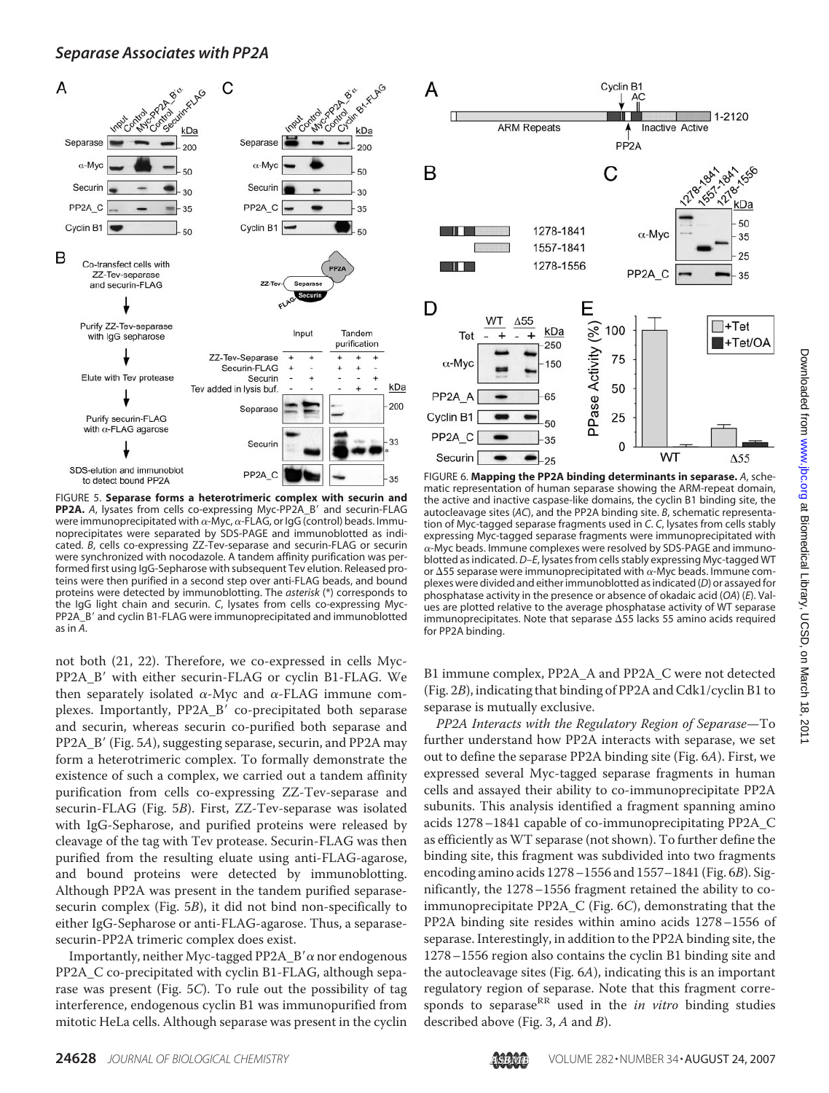## *Separase Associates with PP2A*



FIGURE 5. **Separase forms a heterotrimeric complex with securin and PP2A.** A, lysates from cells co-expressing Myc-PP2A\_B' and securin-FLAG were immunoprecipitated with  $\alpha$ -Myc,  $\alpha$ -FLAG, or IgG (control) beads. Immunoprecipitates were separated by SDS-PAGE and immunoblotted as indicated. *B*, cells co-expressing ZZ-Tev-separase and securin-FLAG or securin were synchronized with nocodazole. A tandem affinity purification was performed first using IgG-Sepharose with subsequent Tev elution. Released proteins were then purified in a second step over anti-FLAG beads, and bound proteins were detected by immunoblotting. The *asterisk* (\*) corresponds to the IgG light chain and securin. *C*, lysates from cells co-expressing Myc-PP2A\_B' and cyclin B1-FLAG were immunoprecipitated and immunoblotted as in *A*.

not both (21, 22). Therefore, we co-expressed in cells Myc-PP2A B' with either securin-FLAG or cyclin B1-FLAG. We then separately isolated  $\alpha$ -Myc and  $\alpha$ -FLAG immune complexes. Importantly, PP2A B' co-precipitated both separase and securin, whereas securin co-purified both separase and PP2A\_B' (Fig. 5A), suggesting separase, securin, and PP2A may form a heterotrimeric complex. To formally demonstrate the existence of such a complex, we carried out a tandem affinity purification from cells co-expressing ZZ-Tev-separase and securin-FLAG (Fig. 5*B*). First, ZZ-Tev-separase was isolated with IgG-Sepharose, and purified proteins were released by cleavage of the tag with Tev protease. Securin-FLAG was then purified from the resulting eluate using anti-FLAG-agarose, and bound proteins were detected by immunoblotting. Although PP2A was present in the tandem purified separasesecurin complex (Fig. 5*B*), it did not bind non-specifically to either IgG-Sepharose or anti-FLAG-agarose. Thus, a separasesecurin-PP2A trimeric complex does exist.

Importantly, neither Myc-tagged PP2A\_B'  $\alpha$  nor endogenous PP2A\_C co-precipitated with cyclin B1-FLAG, although separase was present (Fig. 5*C*). To rule out the possibility of tag interference, endogenous cyclin B1 was immunopurified from mitotic HeLa cells. Although separase was present in the cyclin



FIGURE 6. **Mapping the PP2A binding determinants in separase.** *A*, schematic representation of human separase showing the ARM-repeat domain, the active and inactive caspase-like domains, the cyclin B1 binding site, the autocleavage sites (*AC*), and the PP2A binding site. *B*, schematic representation of Myc-tagged separase fragments used in *C*. *C*, lysates from cells stably expressing Myc-tagged separase fragments were immunoprecipitated with  $\alpha$ -Myc beads. Immune complexes were resolved by SDS-PAGE and immunoblotted as indicated. *D–E*, lysates from cells stably expressing Myc-tagged WT or  $\Delta$ 55 separase were immunoprecipitated with  $\alpha$ -Myc beads. Immune complexes were divided and either immunoblotted as indicated (*D*) or assayed for phosphatase activity in the presence or absence of okadaic acid (*OA*) (*E*). Values are plotted relative to the average phosphatase activity of WT separase immunoprecipitates. Note that separase  $\Delta$ 55 lacks 55 amino acids required for PP2A binding.

B1 immune complex, PP2A\_A and PP2A\_C were not detected (Fig. 2*B*), indicating that binding of PP2A and Cdk1/cyclin B1 to separase is mutually exclusive.

*PP2A Interacts with the Regulatory Region of Separase*—To further understand how PP2A interacts with separase, we set out to define the separase PP2A binding site (Fig. 6*A*). First, we expressed several Myc-tagged separase fragments in human cells and assayed their ability to co-immunoprecipitate PP2A subunits. This analysis identified a fragment spanning amino acids 1278–1841 capable of co-immunoprecipitating PP2A\_C as efficiently as WT separase (not shown). To further define the binding site, this fragment was subdivided into two fragments encoding amino acids 1278–1556 and 1557–1841 (Fig. 6*B*). Significantly, the 1278–1556 fragment retained the ability to coimmunoprecipitate PP2A\_C (Fig. 6*C*), demonstrating that the PP2A binding site resides within amino acids 1278–1556 of separase. Interestingly, in addition to the PP2A binding site, the 1278–1556 region also contains the cyclin B1 binding site and the autocleavage sites (Fig. 6*A*), indicating this is an important regulatory region of separase. Note that this fragment corresponds to separase<sup>RR</sup> used in the *in vitro* binding studies described above (Fig. 3, *A* and *B*).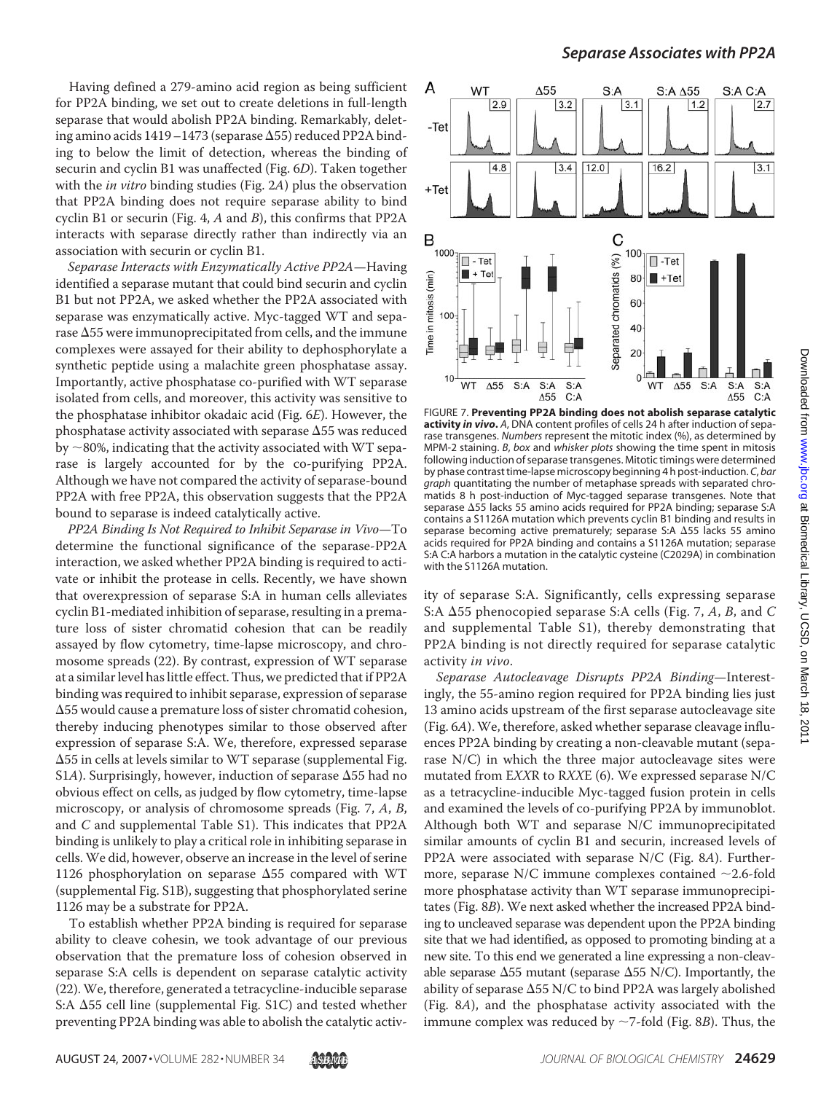Having defined a 279-amino acid region as being sufficient for PP2A binding, we set out to create deletions in full-length separase that would abolish PP2A binding. Remarkably, deleting amino acids 1419–1473 (separase  $\Delta 55$ ) reduced PP2A binding to below the limit of detection, whereas the binding of securin and cyclin B1 was unaffected (Fig. 6*D*). Taken together with the *in vitro* binding studies (Fig. 2*A*) plus the observation that PP2A binding does not require separase ability to bind cyclin B1 or securin (Fig. 4, *A* and *B*), this confirms that PP2A interacts with separase directly rather than indirectly via an association with securin or cyclin B1.

*Separase Interacts with Enzymatically Active PP2A*—Having identified a separase mutant that could bind securin and cyclin B1 but not PP2A, we asked whether the PP2A associated with separase was enzymatically active. Myc-tagged WT and separase  $\Delta 55$  were immunoprecipitated from cells, and the immune complexes were assayed for their ability to dephosphorylate a synthetic peptide using a malachite green phosphatase assay. Importantly, active phosphatase co-purified with WT separase isolated from cells, and moreover, this activity was sensitive to the phosphatase inhibitor okadaic acid (Fig. 6*E*). However, the phosphatase activity associated with separase  $\Delta 55$  was reduced by  $\sim$ 80%, indicating that the activity associated with WT separase is largely accounted for by the co-purifying PP2A. Although we have not compared the activity of separase-bound PP2A with free PP2A, this observation suggests that the PP2A bound to separase is indeed catalytically active.

*PP2A Binding Is Not Required to Inhibit Separase in Vivo*—To determine the functional significance of the separase-PP2A interaction, we asked whether PP2A binding is required to activate or inhibit the protease in cells. Recently, we have shown that overexpression of separase S:A in human cells alleviates cyclin B1-mediated inhibition of separase, resulting in a premature loss of sister chromatid cohesion that can be readily assayed by flow cytometry, time-lapse microscopy, and chromosome spreads (22). By contrast, expression of WT separase at a similar level has little effect. Thus, we predicted that if PP2A binding was required to inhibit separase, expression of separase -55 would cause a premature loss of sister chromatid cohesion, thereby inducing phenotypes similar to those observed after expression of separase S:A. We, therefore, expressed separase -55 in cells at levels similar to WT separase (supplemental Fig. S1A). Surprisingly, however, induction of separase  $\Delta$ 55 had no obvious effect on cells, as judged by flow cytometry, time-lapse microscopy, or analysis of chromosome spreads (Fig. 7, *A*, *B*, and *C* and supplemental Table S1). This indicates that PP2A binding is unlikely to play a critical role in inhibiting separase in cells. We did, however, observe an increase in the level of serine 1126 phosphorylation on separase  $\Delta$ 55 compared with WT (supplemental Fig. S1B), suggesting that phosphorylated serine 1126 may be a substrate for PP2A.

To establish whether PP2A binding is required for separase ability to cleave cohesin, we took advantage of our previous observation that the premature loss of cohesion observed in separase S:A cells is dependent on separase catalytic activity (22). We, therefore, generated a tetracycline-inducible separase S:A  $\Delta$ 55 cell line (supplemental Fig. S1C) and tested whether preventing PP2A binding was able to abolish the catalytic activ-



FIGURE 7. **Preventing PP2A binding does not abolish separase catalytic activity** *in vivo***.** *A*, DNA content profiles of cells 24 h after induction of separase transgenes. *Numbers* represent the mitotic index (%), as determined by MPM-2 staining. *B*, *box* and *whisker plots* showing the time spent in mitosis following induction of separase transgenes. Mitotic timings were determined by phase contrast time-lapse microscopy beginning 4 h post-induction. *C*, *bar graph* quantitating the number of metaphase spreads with separated chromatids 8 h post-induction of Myc-tagged separase transgenes. Note that separase  $\Delta$ 55 lacks 55 amino acids required for PP2A binding; separase S:A contains a S1126A mutation which prevents cyclin B1 binding and results in separase becoming active prematurely; separase S:A  $\Delta$ 55 lacks 55 amino acids required for PP2A binding and contains a S1126A mutation; separase S:A C:A harbors a mutation in the catalytic cysteine (C2029A) in combination with the S1126A mutation.

ity of separase S:A. Significantly, cells expressing separase S:A  $\Delta$ 55 phenocopied separase S:A cells (Fig. 7, A, B, and C and supplemental Table S1), thereby demonstrating that PP2A binding is not directly required for separase catalytic activity *in vivo*.

*Separase Autocleavage Disrupts PP2A Binding*—Interestingly, the 55-amino region required for PP2A binding lies just 13 amino acids upstream of the first separase autocleavage site (Fig. 6*A*). We, therefore, asked whether separase cleavage influences PP2A binding by creating a non-cleavable mutant (separase N/C) in which the three major autocleavage sites were mutated from E*XX*R to R*XX*E (6). We expressed separase N/C as a tetracycline-inducible Myc-tagged fusion protein in cells and examined the levels of co-purifying PP2A by immunoblot. Although both WT and separase N/C immunoprecipitated similar amounts of cyclin B1 and securin, increased levels of PP2A were associated with separase N/C (Fig. 8*A*). Furthermore, separase N/C immune complexes contained  $\sim$  2.6-fold more phosphatase activity than WT separase immunoprecipitates (Fig. 8*B*). We next asked whether the increased PP2A binding to uncleaved separase was dependent upon the PP2A binding site that we had identified, as opposed to promoting binding at a new site. To this end we generated a line expressing a non-cleavable separase  $\Delta$ 55 mutant (separase  $\Delta$ 55 N/C). Importantly, the ability of separase  $\Delta$ 55 N/C to bind PP2A was largely abolished (Fig. 8*A*), and the phosphatase activity associated with the immune complex was reduced by  $\sim$ 7-fold (Fig. 8*B*). Thus, the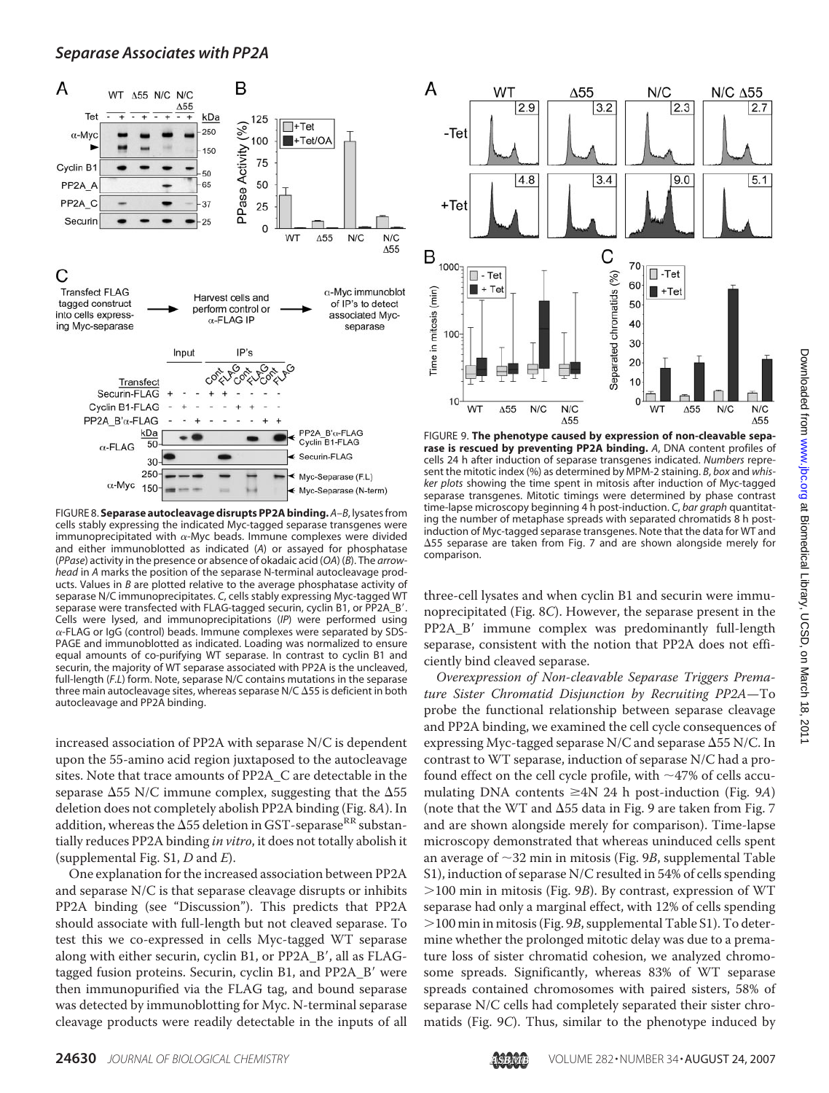

FIGURE 8. **Separase autocleavage disrupts PP2A binding.** *A–B*, lysatesfrom cells stably expressing the indicated Myc-tagged separase transgenes were immunoprecipitated with  $\alpha$ -Myc beads. Immune complexes were divided and either immunoblotted as indicated (*A*) or assayed for phosphatase (*PPase*) activity in the presence or absence of okadaic acid (*OA*) (*B*). The *arrowhead* in *A* marks the position of the separase N-terminal autocleavage products. Values in *B* are plotted relative to the average phosphatase activity of separase N/C immunoprecipitates. *C*, cells stably expressing Myc-tagged WT separase were transfected with FLAG-tagged securin, cyclin B1, or PP2A\_B'. Cells were lysed, and immunoprecipitations (*IP*) were performed using  $\alpha$ -FLAG or IgG (control) beads. Immune complexes were separated by SDS-PAGE and immunoblotted as indicated. Loading was normalized to ensure equal amounts of co-purifying WT separase. In contrast to cyclin B1 and securin, the majority of WT separase associated with PP2A is the uncleaved, full-length (*F.L*) form. Note, separase N/C contains mutations in the separase three main autocleavage sites, whereas separase N/C  $\Delta$ 55 is deficient in both autocleavage and PP2A binding.

increased association of PP2A with separase N/C is dependent upon the 55-amino acid region juxtaposed to the autocleavage sites. Note that trace amounts of PP2A\_C are detectable in the separase  $\Delta$ 55 N/C immune complex, suggesting that the  $\Delta$ 55 deletion does not completely abolish PP2A binding (Fig. 8*A*). In addition, whereas the  $\Delta$ 55 deletion in GST-separase RR substantially reduces PP2A binding *in vitro*, it does not totally abolish it (supplemental Fig. S1, *D* and *E*).

One explanation for the increased association between PP2A and separase N/C is that separase cleavage disrupts or inhibits PP2A binding (see "Discussion"). This predicts that PP2A should associate with full-length but not cleaved separase. To test this we co-expressed in cells Myc-tagged WT separase along with either securin, cyclin B1, or PP2A\_B', all as FLAGtagged fusion proteins. Securin, cyclin B1, and PP2A\_B' were then immunopurified via the FLAG tag, and bound separase was detected by immunoblotting for Myc. N-terminal separase cleavage products were readily detectable in the inputs of all



FIGURE 9. **The phenotype caused by expression of non-cleavable separase is rescued by preventing PP2A binding.** *A*, DNA content profiles of cells 24 h after induction of separase transgenes indicated. *Numbers* represent the mitotic index (%) as determined by MPM-2 staining. *B*, *box* and *whisker plots* showing the time spent in mitosis after induction of Myc-tagged separase transgenes. Mitotic timings were determined by phase contrast time-lapse microscopy beginning 4 h post-induction. *C*, *bar graph* quantitating the number of metaphase spreads with separated chromatids 8 h postinduction of Myc-tagged separase transgenes. Note that the data for WT and -55 separase are taken from Fig. 7 and are shown alongside merely for comparison.

three-cell lysates and when cyclin B1 and securin were immunoprecipitated (Fig. 8*C*). However, the separase present in the PP2A\_B' immune complex was predominantly full-length separase, consistent with the notion that PP2A does not efficiently bind cleaved separase.

*Overexpression of Non-cleavable Separase Triggers Premature Sister Chromatid Disjunction by Recruiting PP2A*—To probe the functional relationship between separase cleavage and PP2A binding, we examined the cell cycle consequences of expressing Myc-tagged separase N/C and separase  $\Delta$ 55 N/C. In contrast to WT separase, induction of separase N/C had a profound effect on the cell cycle profile, with  $\sim$ 47% of cells accumulating DNA contents  $\geq$ 4N 24 h post-induction (Fig. 9A) (note that the WT and  $\Delta$ 55 data in Fig. 9 are taken from Fig. 7 and are shown alongside merely for comparison). Time-lapse microscopy demonstrated that whereas uninduced cells spent an average of  $\sim$ 32 min in mitosis (Fig. 9*B*, supplemental Table S1), induction of separase N/C resulted in 54% of cells spending 100 min in mitosis (Fig. 9*B*). By contrast, expression of WT separase had only a marginal effect, with 12% of cells spending 100 min in mitosis (Fig. 9*B*, supplemental Table S1). To determine whether the prolonged mitotic delay was due to a premature loss of sister chromatid cohesion, we analyzed chromosome spreads. Significantly, whereas 83% of WT separase spreads contained chromosomes with paired sisters, 58% of separase N/C cells had completely separated their sister chromatids (Fig. 9*C*). Thus, similar to the phenotype induced by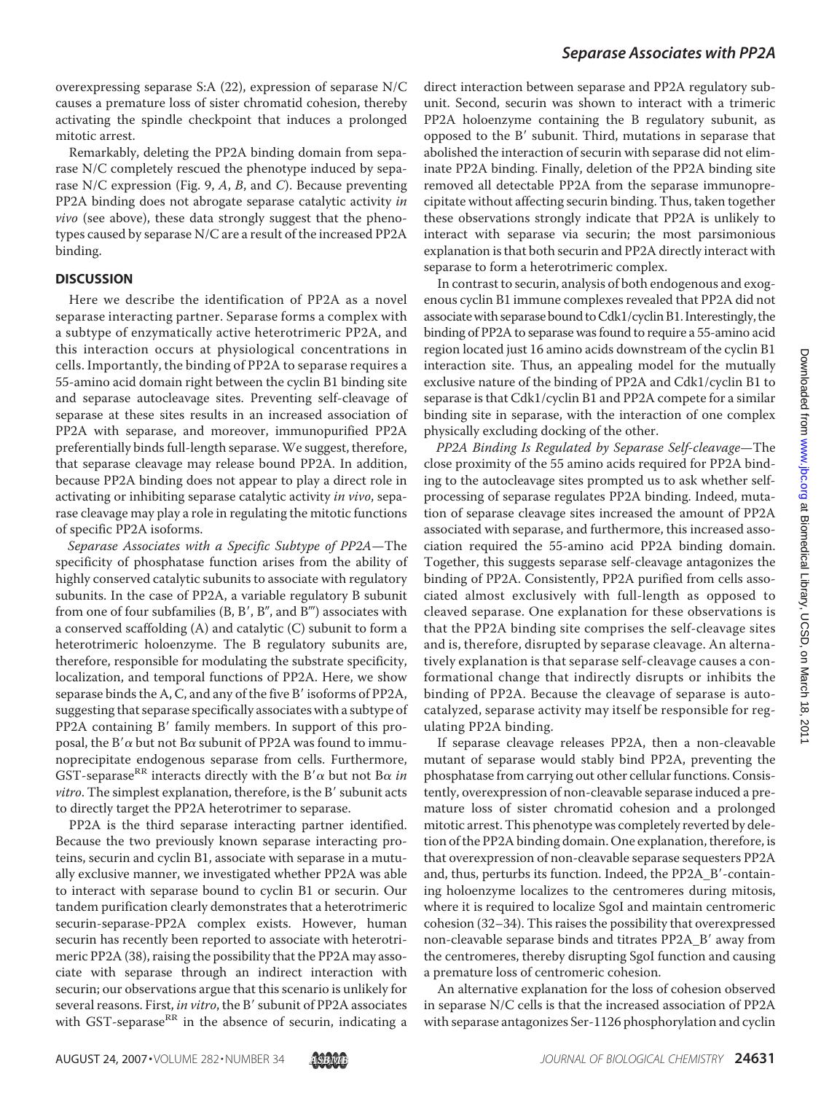overexpressing separase S:A (22), expression of separase N/C causes a premature loss of sister chromatid cohesion, thereby activating the spindle checkpoint that induces a prolonged mitotic arrest.

Remarkably, deleting the PP2A binding domain from separase N/C completely rescued the phenotype induced by separase N/C expression (Fig. 9, *A*, *B*, and *C*). Because preventing PP2A binding does not abrogate separase catalytic activity *in vivo* (see above), these data strongly suggest that the phenotypes caused by separase N/C are a result of the increased PP2A binding.

### **DISCUSSION**

Here we describe the identification of PP2A as a novel separase interacting partner. Separase forms a complex with a subtype of enzymatically active heterotrimeric PP2A, and this interaction occurs at physiological concentrations in cells. Importantly, the binding of PP2A to separase requires a 55-amino acid domain right between the cyclin B1 binding site and separase autocleavage sites. Preventing self-cleavage of separase at these sites results in an increased association of PP2A with separase, and moreover, immunopurified PP2A preferentially binds full-length separase. We suggest, therefore, that separase cleavage may release bound PP2A. In addition, because PP2A binding does not appear to play a direct role in activating or inhibiting separase catalytic activity *in vivo*, separase cleavage may play a role in regulating the mitotic functions of specific PP2A isoforms.

*Separase Associates with a Specific Subtype of PP2A*—The specificity of phosphatase function arises from the ability of highly conserved catalytic subunits to associate with regulatory subunits. In the case of PP2A, a variable regulatory B subunit from one of four subfamilies  $(B, B', B'', and B''')$  associates with a conserved scaffolding (A) and catalytic (C) subunit to form a heterotrimeric holoenzyme. The B regulatory subunits are, therefore, responsible for modulating the substrate specificity, localization, and temporal functions of PP2A. Here, we show separase binds the A, C, and any of the five B' isoforms of PP2A, suggesting that separase specifically associates with a subtype of PP2A containing B' family members. In support of this proposal, the B' $\alpha$  but not B $\alpha$  subunit of PP2A was found to immunoprecipitate endogenous separase from cells. Furthermore, GST-separase<sup>RR</sup> interacts directly with the B' $\alpha$  but not B $\alpha$  in *vitro*. The simplest explanation, therefore, is the B' subunit acts to directly target the PP2A heterotrimer to separase.

PP2A is the third separase interacting partner identified. Because the two previously known separase interacting proteins, securin and cyclin B1, associate with separase in a mutually exclusive manner, we investigated whether PP2A was able to interact with separase bound to cyclin B1 or securin. Our tandem purification clearly demonstrates that a heterotrimeric securin-separase-PP2A complex exists. However, human securin has recently been reported to associate with heterotrimeric PP2A (38), raising the possibility that the PP2A may associate with separase through an indirect interaction with securin; our observations argue that this scenario is unlikely for several reasons. First, *in vitro*, the B' subunit of PP2A associates with GST-separase<sup>RR</sup> in the absence of securin, indicating a

direct interaction between separase and PP2A regulatory subunit. Second, securin was shown to interact with a trimeric PP2A holoenzyme containing the B regulatory subunit, as opposed to the B' subunit. Third, mutations in separase that abolished the interaction of securin with separase did not eliminate PP2A binding. Finally, deletion of the PP2A binding site removed all detectable PP2A from the separase immunoprecipitate without affecting securin binding. Thus, taken together these observations strongly indicate that PP2A is unlikely to interact with separase via securin; the most parsimonious explanation is that both securin and PP2A directly interact with separase to form a heterotrimeric complex.

In contrast to securin, analysis of both endogenous and exogenous cyclin B1 immune complexes revealed that PP2A did not associate with separase bound toCdk1/cyclin B1. Interestingly, the binding of PP2A to separase was found to require a 55-amino acid region located just 16 amino acids downstream of the cyclin B1 interaction site. Thus, an appealing model for the mutually exclusive nature of the binding of PP2A and Cdk1/cyclin B1 to separase is that Cdk1/cyclin B1 and PP2A compete for a similar binding site in separase, with the interaction of one complex physically excluding docking of the other.

*PP2A Binding Is Regulated by Separase Self-cleavage*—The close proximity of the 55 amino acids required for PP2A binding to the autocleavage sites prompted us to ask whether selfprocessing of separase regulates PP2A binding. Indeed, mutation of separase cleavage sites increased the amount of PP2A associated with separase, and furthermore, this increased association required the 55-amino acid PP2A binding domain. Together, this suggests separase self-cleavage antagonizes the binding of PP2A. Consistently, PP2A purified from cells associated almost exclusively with full-length as opposed to cleaved separase. One explanation for these observations is that the PP2A binding site comprises the self-cleavage sites and is, therefore, disrupted by separase cleavage. An alternatively explanation is that separase self-cleavage causes a conformational change that indirectly disrupts or inhibits the binding of PP2A. Because the cleavage of separase is autocatalyzed, separase activity may itself be responsible for regulating PP2A binding.

If separase cleavage releases PP2A, then a non-cleavable mutant of separase would stably bind PP2A, preventing the phosphatase from carrying out other cellular functions. Consistently, overexpression of non-cleavable separase induced a premature loss of sister chromatid cohesion and a prolonged mitotic arrest. This phenotype was completely reverted by deletion of the PP2A binding domain. One explanation, therefore, is that overexpression of non-cleavable separase sequesters PP2A and, thus, perturbs its function. Indeed, the PP2A\_B'-containing holoenzyme localizes to the centromeres during mitosis, where it is required to localize SgoI and maintain centromeric cohesion (32–34). This raises the possibility that overexpressed non-cleavable separase binds and titrates PP2A\_B' away from the centromeres, thereby disrupting SgoI function and causing a premature loss of centromeric cohesion.

An alternative explanation for the loss of cohesion observed in separase N/C cells is that the increased association of PP2A with separase antagonizes Ser-1126 phosphorylation and cyclin